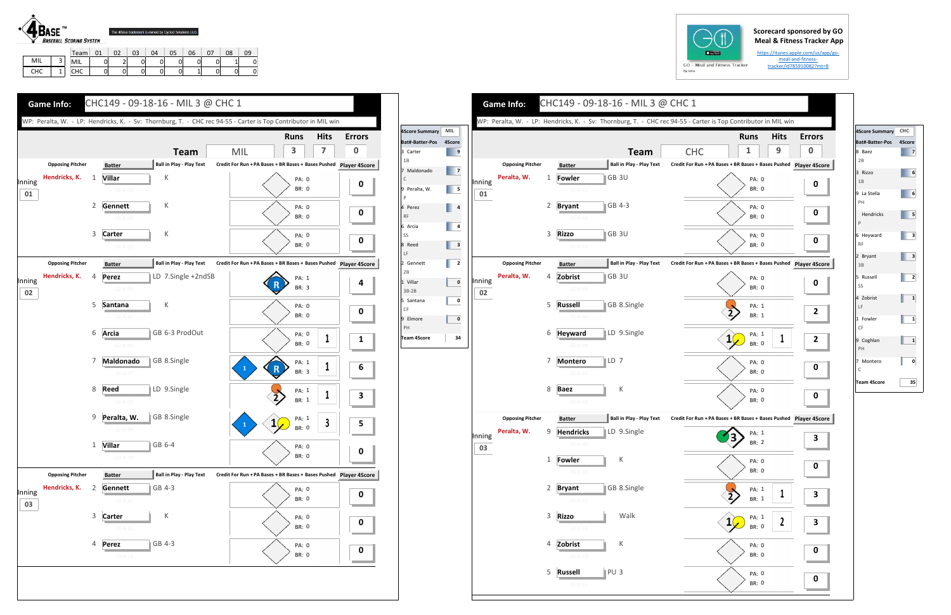## **Scorecard sponsored by GO Meal & Fitness Tracker App**

https://itunes.apple.com/us/app/go‐ meal‐and‐fitness‐ tracker/id785910082?mt=8



|     |   | Team       | 01 | n? | 03 | 04 | 05 | 06 | 08 | 09 |
|-----|---|------------|----|----|----|----|----|----|----|----|
| MIL | ت | MIL        | ັ  | ے  |    |    |    |    |    |    |
| CHC |   | <b>CHC</b> | ັ  | 01 |    |    |    |    |    |    |



|              |                         |   |                                |                 |                                                | WP: Peralta, W. - LP: Hendricks, K. - Sv: Thornburg, T. - CHC rec 94-55 - Carter is Top Contributor in MIL win |                             |                  |      |
|--------------|-------------------------|---|--------------------------------|-----------------|------------------------------------------------|----------------------------------------------------------------------------------------------------------------|-----------------------------|------------------|------|
|              |                         |   |                                |                 |                                                |                                                                                                                | <b>Runs</b><br>1            | <b>Hits</b><br>9 | Erro |
|              | <b>Opposing Pitcher</b> |   | <b>Batter</b>                  |                 | <b>Team</b><br><b>Ball in Play - Play Text</b> | <b>CHC</b><br>Credit For Run + PA Bases + BR Bases + Bases Pushed Player 4S                                    |                             |                  |      |
| Inning<br>01 | Peralta, W.             | 1 | <b>Fowler</b><br>$01 - H - 01$ |                 | GB 3U                                          |                                                                                                                | PA: 0<br><b>BR: 0</b>       |                  |      |
|              |                         | 2 | <b>Bryant</b><br>$01-H-02$     |                 | GB 4-3                                         |                                                                                                                | PA: 0<br><b>BR: 0</b>       |                  |      |
|              |                         | 3 | Rizzo<br>$01-H-03$             |                 | GB 3U                                          |                                                                                                                | PA: 0<br><b>BR: 0</b>       |                  |      |
|              | <b>Opposing Pitcher</b> |   | <b>Batter</b>                  |                 | <b>Ball in Play - Play Text</b>                | Credit For Run + PA Bases + BR Bases + Bases Pushed Player 4S                                                  |                             |                  |      |
| Inning<br>02 | Peralta, W.             | 4 | Zobrist<br>$02 - H - 04$       |                 | GB <sub>3U</sub>                               |                                                                                                                | PA: 0<br><b>BR: 0</b>       |                  |      |
|              |                         | 5 | <b>Russell</b><br>$02-H-05$    |                 | GB 8.Single                                    |                                                                                                                | PA: 1<br><b>BR: 1</b>       |                  |      |
|              |                         | 6 | <b>Heyward</b><br>$02-H-06$    |                 | LD 9.Single                                    | 1                                                                                                              | PA: 1<br><b>BR: 0</b>       | 1                |      |
|              |                         | 7 | <b>Montero</b><br>$02-H-07$    | LD 7            |                                                |                                                                                                                | PA: 0<br><b>BR: 0</b>       |                  |      |
|              |                         | 8 | Baez<br>$02-H-08$              |                 | Κ                                              |                                                                                                                | PA: 0<br><b>BR: 0</b>       |                  |      |
|              | <b>Opposing Pitcher</b> |   | <b>Batter</b>                  |                 | <b>Ball in Play - Play Text</b>                | Credit For Run + PA Bases + BR Bases + Bases Pushed Player 4S                                                  |                             |                  |      |
| Inning<br>03 | Peralta, W.             | 9 | <b>Hendricks</b><br>03-H-09    |                 | LD 9.Single                                    |                                                                                                                | PA: 1<br>Э.<br><b>BR: 2</b> |                  |      |
|              |                         | 1 | Fowler<br>$03 - H - 10$        |                 | Κ                                              |                                                                                                                | PA: 0<br>BR: 0              |                  |      |
|              |                         | 2 | <b>Bryant</b><br>$03 - H - 11$ |                 | GB 8.Single                                    |                                                                                                                | PA: 1<br>BR: 1              | 1                |      |
|              |                         | 3 | <b>Rizzo</b><br>$03-H-12$      |                 | Walk                                           |                                                                                                                | PA: 1<br>BR: 0              | 2                |      |
|              |                         | 4 | Zobrist<br>$03 - H - 13$       |                 | К                                              |                                                                                                                | PA: 0<br>BR: 0              |                  |      |
|              |                         | 5 | <b>Russell</b>                 | PU <sub>3</sub> |                                                |                                                                                                                | PA: 0                       |                  |      |







| 4Score Summary CHC     |                         |
|------------------------|-------------------------|
| Bat#-Batter-Pos        | 4Score                  |
| 8 Baez<br>2B           | 7                       |
| 3 Rizzo<br>1B          | 6                       |
| 9 La Stella<br>PH      | 6                       |
| Hendricks<br>P         | 5                       |
| 6 Heyward<br><b>RF</b> | з                       |
| 2 Bryant<br>3B         | 3                       |
| 5 Russell<br>SS        | 2                       |
| 4 Zobrist<br>LF        | 1                       |
| 1 Fowler<br>CF         | 1                       |
| 9 Coghlan<br>PH        | $\overline{\mathbf{1}}$ |
| 7 Montero<br>Ć         | 0                       |
| <b>Team 4Score</b>     | 35                      |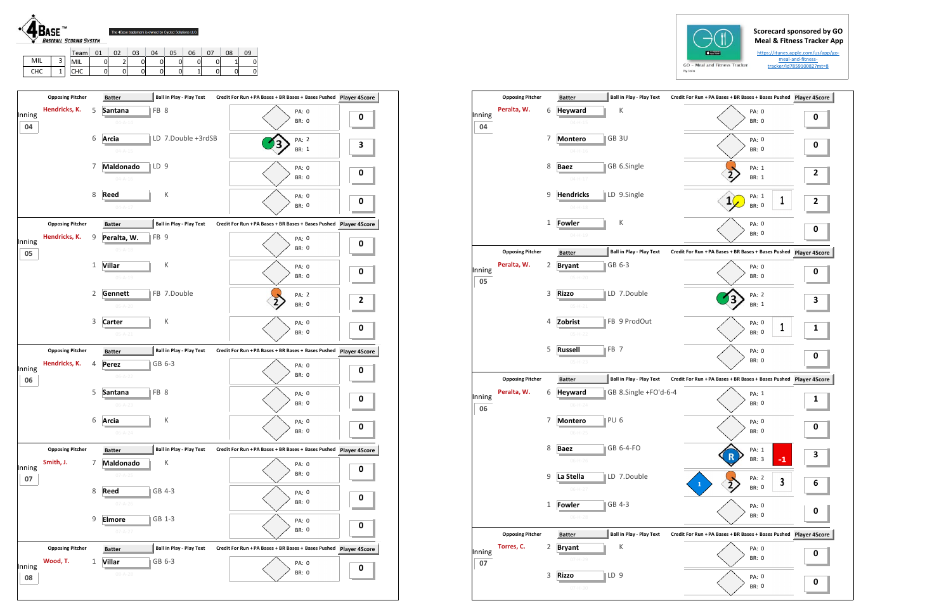## **Scorecard sponsored by GO Meal & Fitness Tracker App**

https://itunes.apple.com/us/app/go‐ meal‐and‐fitness‐ tracker/id785910082?mt=8

|            | $-$ TM | <b>BASEBALL SCORING SYSTEM</b> | The 4Base trademark is owned by Cycled Solutions LLC. |    |    |    |    |    |    |    |    |
|------------|--------|--------------------------------|-------------------------------------------------------|----|----|----|----|----|----|----|----|
|            |        | Team                           | 01                                                    | 02 | 03 | 04 | 05 | 06 | 07 | 08 | 09 |
| MIL        | 3      | MIL                            |                                                       |    |    |    |    |    |    |    |    |
| <b>CHC</b> |        | CHC                            |                                                       |    |    |    |    |    |    |    |    |

PA: 0 BR: 0

|              | <b>Opposing Pitcher</b> |   | <b>Batter</b>                  | <b>Ball in Play - Play Text</b> | Credit For Run + PA Bases + BR Bases + Bases Pushed Player 4Score |   |
|--------------|-------------------------|---|--------------------------------|---------------------------------|-------------------------------------------------------------------|---|
| Inning       | Hendricks, K.           | 5 | Santana                        | FB 8                            | PA: 0                                                             | 0 |
| 04           |                         |   | $04 - A - 14$                  |                                 | <b>BR: 0</b>                                                      |   |
|              |                         | 6 | Arcia<br>$04 - A - 15$         | LD 7.Double +3rdSB              | <b>PA: 2</b><br><b>BR: 1</b>                                      | 3 |
|              |                         | 7 | Maldonado<br>$04 - A - 16$     | $\mathbb{ID}9$                  | <b>PA: 0</b><br><b>BR: 0</b>                                      | 0 |
|              |                         | 8 | <b>Reed</b><br>$04 - A - 17$   | К                               | PA: 0<br><b>BR: 0</b>                                             | 0 |
|              | <b>Opposing Pitcher</b> |   | <b>Batter</b>                  | <b>Ball in Play - Play Text</b> |                                                                   |   |
| Inning<br>05 | Hendricks, K.           | 9 | Peralta, W.<br>$05 - A - 18$   | FB <sub>9</sub>                 | PA: 0<br><b>BR: 0</b>                                             | 0 |
|              |                         | 1 | <b>Villar</b><br>$05 - A - 19$ | К                               | PA: 0<br><b>BR: 0</b>                                             | 0 |
|              |                         | 2 | Gennett<br>$05 - A - 20$       | FB 7.Double                     | PA: 2<br><b>BR: 0</b>                                             | 2 |
|              |                         | 3 | Carter<br>$05 - A - 21$        | К                               | <b>PA: 0</b><br><b>BR: 0</b>                                      | 0 |
|              | <b>Opposing Pitcher</b> |   | <b>Batter</b>                  | <b>Ball in Play - Play Text</b> | Credit For Run + PA Bases + BR Bases + Bases Pushed Player 4Score |   |
| Inning<br>06 | Hendricks, K.           | 4 | Perez<br>$06 - A - 22$         | GB 6-3                          | PA: 0<br><b>BR: 0</b>                                             | 0 |
|              |                         | 5 | Santana<br>$06 - A - 23$       | FB 8                            | PA: 0<br><b>BR: 0</b>                                             | 0 |
|              |                         | 6 | Arcia<br>06-A-24               | К                               | PA: 0<br>BR: 0                                                    | 0 |
|              | <b>Opposing Pitcher</b> |   | <b>Batter</b>                  | <b>Ball in Play - Play Text</b> | Credit For Run + PA Bases + BR Bases + Bases Pushed Player 4Score |   |
| Inning       | Smith, J.               | 7 | Maldonado<br>$07 - A - 25$     | К                               | PA: 0<br><b>BR: 0</b>                                             | 0 |
| 07           |                         | 8 | Reed<br>$07 - A - 26$          | GB 4-3                          | PA: 0<br>BR: 0                                                    | 0 |

|        | <b>Opposing Pitcher</b> |   | <b>Batter</b>                      | <b>Ball in Play - Play Text</b> | Credit For Run + PA Bases + BR Bases + Bases Pushed Player 4S |           |
|--------|-------------------------|---|------------------------------------|---------------------------------|---------------------------------------------------------------|-----------|
| Inning | Peralta, W.             | 6 | <b>Heyward</b>                     | Κ                               | PA: 0<br><b>BR: 0</b>                                         | 0         |
| 04     |                         |   | $04 - H - 15$                      |                                 |                                                               |           |
|        |                         | 7 | GB 3U<br><b>Montero</b>            |                                 | PA: 0                                                         | 0         |
|        |                         |   | $04 - H - 16$                      |                                 | <b>BR: 0</b>                                                  |           |
|        |                         | 8 | <b>Baez</b>                        | GB 6.Single                     | PA: 1                                                         |           |
|        |                         |   | $04 - H - 17$                      |                                 | <b>BR: 1</b>                                                  | 2         |
|        |                         | 9 | <b>Hendricks</b>                   | LD 9.Single                     | PA: 1<br>1<br>1                                               |           |
|        |                         |   | $04 - H - 18$                      |                                 | <b>BR: 0</b>                                                  | 2         |
|        |                         | 1 | Fowler                             | К                               | PA: 0                                                         |           |
|        |                         |   | $04 - H - 19$                      |                                 | <b>BR: 0</b>                                                  | 0         |
|        | <b>Opposing Pitcher</b> |   | <b>Batter</b>                      | <b>Ball in Play - Play Text</b> | Credit For Run + PA Bases + BR Bases + Bases Pushed           | Player 49 |
| Inning | Peralta, W.             | 2 | GB 6-3<br><b>Bryant</b>            |                                 | PA: 0                                                         |           |
| 05     |                         |   | $05 - H - 20$                      |                                 | <b>BR: 0</b>                                                  | 0         |
|        |                         | 3 | <b>Rizzo</b>                       | LD 7.Double                     | PA: 2                                                         |           |
|        |                         |   | $05-H-21$                          |                                 | <b>BR: 1</b>                                                  | 3         |
|        |                         | 4 | Zobrist                            | FB 9 ProdOut                    | PA: 0                                                         |           |
|        |                         |   | $05-H-22$                          |                                 | 1<br><b>BR: 0</b>                                             | 1         |
|        |                         | 5 | <b>Russell</b><br>$\parallel$ FB 7 |                                 | PA: 0                                                         |           |
|        |                         |   | $05-H-23$                          |                                 | BR: 0                                                         | 0         |
|        | <b>Opposing Pitcher</b> |   | <b>Batter</b>                      | <b>Ball in Play - Play Text</b> | Credit For Run + PA Bases + BR Bases + Bases Pushed Player 4S |           |
| Inning | Peralta, W.             | 6 | <b>Heyward</b>                     | GB 8.Single +FO'd-6-4           | PA: 1                                                         |           |
| 06     |                         |   | 06-H-24                            |                                 | <b>BR: 0</b>                                                  | 1         |
|        |                         | 7 | PU <sub>6</sub><br><b>Montero</b>  |                                 | PA: 0                                                         |           |
|        |                         |   | 06-H-25                            |                                 | BR: 0                                                         | 0         |
|        |                         | 8 | <b>Baez</b>                        | GB 6-4-FO                       | PA: 1                                                         |           |
|        |                         |   | 06-H-26                            |                                 | $-1$<br>BR: 3                                                 | З         |
|        |                         | 9 | La Stella                          | LD 7.Double                     | PA: 2<br>3                                                    |           |
|        |                         |   | $06-H-27$                          |                                 | 1<br>BR: 0                                                    | 6         |
|        |                         | 1 | GB 4-3<br><b>Fowler</b>            |                                 | PA: 0                                                         |           |
|        |                         |   | $06-H-28$                          |                                 | BR: 0                                                         | 0         |
|        | <b>Opposing Pitcher</b> |   | <b>Batter</b>                      | <b>Ball in Play - Play Text</b> | Credit For Run + PA Bases + BR Bases + Bases Pushed           | Player 49 |
| Inning | Torres, C.              | 2 | <b>Bryant</b>                      | К                               | PA: 0                                                         | 0         |
| 07     |                         |   | 07-H-29                            |                                 | BR: 0                                                         |           |
|        |                         | 3 | ∥LD 9<br><b>Rizzo</b>              |                                 | PA: 0                                                         | 0         |
|        |                         |   | 07-H-30                            |                                 | BR: 0                                                         |           |





9 **Elmore**

**0**

**Opposing Pitcher Batter Ball in Play ‐ Play Text Batter Credit For Run + PA Bases + BR Bases + Bases Pushed Player 4Score**

**Villar**

Wood, T.

**0**

 Inning **08**

**e** ∥GB 1-3

**r** ■ GB 6-3

PA:

PA: 0 BR: 0